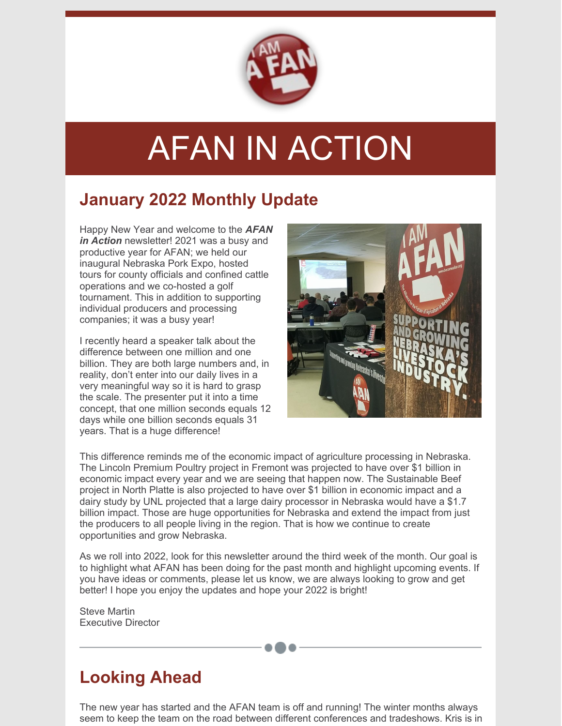

# AFAN IN ACTION

### **January 2022 Monthly Update**

Happy New Year and welcome to the *AFAN in Action* newsletter! 2021 was a busy and productive year for AFAN; we held our inaugural Nebraska Pork Expo, hosted tours for county officials and confined cattle operations and we co-hosted a golf tournament. This in addition to supporting individual producers and processing companies; it was a busy year!

I recently heard a speaker talk about the difference between one million and one billion. They are both large numbers and, in reality, don't enter into our daily lives in a very meaningful way so it is hard to grasp the scale. The presenter put it into a time concept, that one million seconds equals 12 days while one billion seconds equals 31 years. That is a huge difference!



This difference reminds me of the economic impact of agriculture processing in Nebraska. The Lincoln Premium Poultry project in Fremont was projected to have over \$1 billion in economic impact every year and we are seeing that happen now. The Sustainable Beef project in North Platte is also projected to have over \$1 billion in economic impact and a dairy study by UNL projected that a large dairy processor in Nebraska would have a \$1.7 billion impact. Those are huge opportunities for Nebraska and extend the impact from just the producers to all people living in the region. That is how we continue to create opportunities and grow Nebraska.

As we roll into 2022, look for this newsletter around the third week of the month. Our goal is to highlight what AFAN has been doing for the past month and highlight upcoming events. If you have ideas or comments, please let us know, we are always looking to grow and get better! I hope you enjoy the updates and hope your 2022 is bright!

Steve Martin Executive Director

## **Looking Ahead**

The new year has started and the AFAN team is off and running! The winter months always seem to keep the team on the road between different conferences and tradeshows. Kris is in